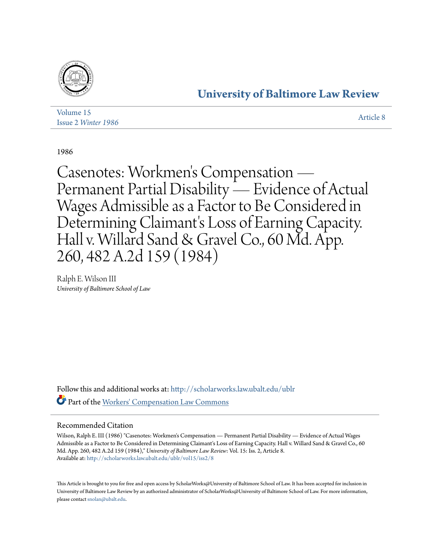

## **[University of Baltimore Law Review](http://scholarworks.law.ubalt.edu/ublr?utm_source=scholarworks.law.ubalt.edu%2Fublr%2Fvol15%2Fiss2%2F8&utm_medium=PDF&utm_campaign=PDFCoverPages)**

| Volume 15           | Article 8 |
|---------------------|-----------|
| Issue 2 Winter 1986 |           |

1986

Casenotes: Workmen 's Compensation — Permanent Partial Disability — Evidence of Actual Wages Admissible as a Factor to Be Considered in Determining Claimant's Loss of Earning Capacity. Hall v. Willard Sand & Gravel Co., 60 Md. App. 260, 482 A.2d 159 (1984)

Ralph E. Wilson III *University of Baltimore School of Law*

Follow this and additional works at: [http://scholarworks.law.ubalt.edu/ublr](http://scholarworks.law.ubalt.edu/ublr?utm_source=scholarworks.law.ubalt.edu%2Fublr%2Fvol15%2Fiss2%2F8&utm_medium=PDF&utm_campaign=PDFCoverPages) Part of the [Workers' Compensation Law Commons](http://network.bepress.com/hgg/discipline/889?utm_source=scholarworks.law.ubalt.edu%2Fublr%2Fvol15%2Fiss2%2F8&utm_medium=PDF&utm_campaign=PDFCoverPages)

## Recommended Citation

Wilson, Ralph E. III (1986) "Casenotes: Workmen's Compensation — Permanent Partial Disability — Evidence of Actual Wages Admissible as a Factor to Be Considered in Determining Claimant's Loss of Earning Capacity. Hall v. Willard Sand & Gravel Co., 60 Md. App. 260, 482 A.2d 159 (1984)," *University of Baltimore Law Review*: Vol. 15: Iss. 2, Article 8. Available at: [http://scholarworks.law.ubalt.edu/ublr/vol15/iss2/8](http://scholarworks.law.ubalt.edu/ublr/vol15/iss2/8?utm_source=scholarworks.law.ubalt.edu%2Fublr%2Fvol15%2Fiss2%2F8&utm_medium=PDF&utm_campaign=PDFCoverPages)

This Article is brought to you for free and open access by ScholarWorks@University of Baltimore School of Law. It has been accepted for inclusion in University of Baltimore Law Review by an authorized administrator of ScholarWorks@University of Baltimore School of Law. For more information, please contact [snolan@ubalt.edu.](mailto:snolan@ubalt.edu)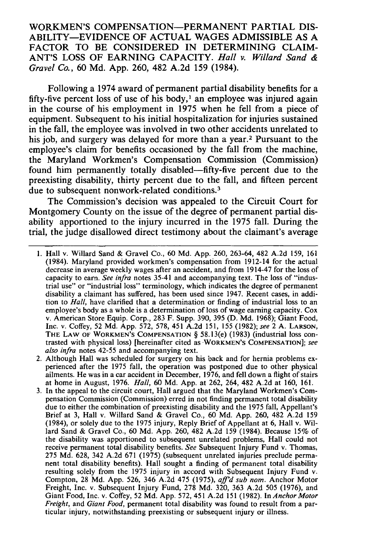WORKMEN'S COMPENSATION-PERMANENT PARTIAL DIS-ABILITY-EVIDENCE OF ACTUAL WAGES ADMISSIBLE AS A FACTOR TO BE CONSIDERED IN DETERMINING CLAIM-ANT'S LOSS OF EARNING CAPACITY. *Hall v. Willard Sand* & *Gravel Co.,* 60 Md. App. 260, 482 A.2d 159 (1984).

Following a 1974 award of permanent partial disability benefits for a fifty-five percent loss of use of his body,<sup>1</sup> an employee was injured again in the course of his employment in 1975 when he fell from a piece of equipment. Subsequent to his initial hospitalization for injuries sustained in the fall, the employee was involved in two other accidents unrelated to his job, and surgery was delayed for more than a year.<sup>2</sup> Pursuant to the employee's claim for benefits occasioned by the fall from the machine, the Maryland Workmen's Compensation Commission (Commission) found him permanently totally disabled-fifty-five percent due to the preexisting disability, thirty percent due to the fall, and fifteen percent due to subsequent nonwork-related conditions.<sup>3</sup>

The Commission's decision was appealed to the Circuit Court for Montgomery County on the issue of the degree of permanent partial disability apportioned to the injury incurred in the 1975 fall. During the trial, the judge disallowed direct testimony about the claimant's average

<sup>1.</sup> Hall v. Willard Sand & Gravel Co., 60 Md. App. 260, 263-64, 482 A.2d 159, 161 (1984). Maryland provided workmen's compensation from 1912-14 for the actual decrease in average weekly wages after an accident, and from 1914-47 for the loss of capacity to earn. *See infra* notes 35-41 and accompanying text. The loss of "industrial use" or "industrial loss" terminology, which indicates the degree of permanent disability a claimant has suffered, has been used since 1947. Recent cases, in addition to *Hall,* have clarified that a determination or finding of industrial loss to an employee's body as a whole is a determination of loss of wage earning capacity. Cox v. American Store Equip. Corp., 283 F. Supp. 390, 395 (D. Md. 1968); Giant Food, Inc. v. Coffey, 52 Md. App. 572, 578,451 A.2d 151, 155 (1982); *see* 2 A. LARSON, THE LAW OF WORKMEN'S COMPENSATION § 58. 13(e) (1983) (industrial loss contrasted with physical loss) [hereinafter cited as 'WORKMEN'S COMPENSATION]; *see also infra* notes 42-55 and accompanying text.

<sup>2.</sup> Although Hall was scheduled for surgery on his back and for hernia problems experienced after the 1975 fall, the operation was postponed due to other physical ailments. He was in a car accident in December, 1976, and fell down a flight of stairs at home in August, 1976. *Hall,* 60 Md. App. at 262, 264,482 A.2d at 160, 161.

<sup>3.</sup> In the appeal to the circuit court, Hall argued that the Maryland Workmen's Compensation Commission (Commission) erred in not finding permanent total disability due to either the combination of preexisting disability and the 1975 fall, Appellant's Brief at 3, Hall v. Willard Sand & Gravel Co., 60 Md. App. 260, 482 A.2d 159 (1984), or solely due to the 1975 injury, Reply Brief of Appellant at 6, Hall v. Willard Sand & Gravel Co., 60 Md. App. 260, 482 A.2d 159 (1984). Because 15% of the disability was apportioned to subsequent unrelated problems, Hall could not receive permanent total disability benefits. *See* Subsequent Injury Fund v. Thomas, 275 Md. 628, 342 A.2d 671 (1975) (subsequent unrelated injuries preclude permanent total disability benefits). Hall sought a finding of permanent total disability resulting solely from the 1975 injury in accord with Subsequent Injury Fund v. Compton, 28 Md. App. 526, 346 A.2d 475 (1975), *affd sub nom.* Anchor Motor Freight, Inc. v. Subsequent Injury Fund, 278 Md. 320, 363 A.2d 505 (1976), and Giant Food, Inc. v. Coffey, 52 Md. App. 572,451 A.2d 151 (1982). In *Anchor Motor Freight,* and *Giant Food,* permanent total disability was found to result from a particular injury, notwithstanding preexisting or subsequent injury or illness.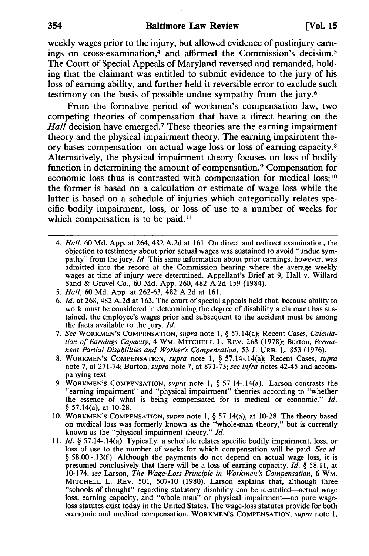weekly wages prior to the injury, but allowed evidence of postinjury earnings on cross-examination,<sup>4</sup> and affirmed the Commission's decision.<sup>5</sup> The Court of Special Appeals of Maryland reversed and remanded, holding that the claimant was entitled to submit evidence to the jury of his loss of earning ability, and further held it reversible error to exclude such testimony on the basis of possible undue sympathy from the jury.6

From the formative period of workmen's compensation law, two competing theories of compensation that have a direct bearing on the *Hall* decision have emerged.<sup>7</sup> These theories are the earning impairment theory and the physical impairment theory. The earning impairment theory bases compensation on actual wage loss or loss of earning capacity.8 Alternatively, the physical impairment theory focuses on loss of bodily function in determining the amount of compensation.9 Compensation for economic loss thus is contrasted with compensation for medical loss; 10 the former is based on a calculation or estimate of wage loss while the latter is based on a schedule of injuries which categorically relates specific bodily impairment, loss, or loss of use to a number of weeks for which compensation is to be paid.<sup>11</sup>

- *4. Hall,* 60 Md. App. at 264, 482 A.2d at 161. On direct and redirect examination, the objection to testimony about prior actual wages was sustained to avoid "undue sympathy" from the jury. *[d.* This same information about prior earnings, however, was admitted into the record at the Commission hearing where the average weekly wages at time of injury were determined. Appellant's Brief at 9, Hall v. Willard Sand & Gravel Co., 60 Md. App. 260, 482 A.2d 159 (1984).
- *5. Hall,* 60 Md. App. at 262-63, 482 A.2d at 161.
- *6. [d.* at 268, 482 A.2d at 163. The court of special appeals held that, because ability to work must be considered in determining the degree of disability a claimant has sustained, the employee's wages prior and subsequent to the accident must be among the facts available to the jury. *[d.*
- *7. See* WORKMEN'S COMPENSATION, *supra* note 1, § 57.14(a); Recent Cases, *Calculation of Earnings Capacity,* 4 WM. MITCHELL L. REV. 268 (1978); Burton, *Permanent Partial Disabilities and Worker's Compensation,* 53 J. URB. L. 853 (1976).
- 8. WORKMEN'S COMPENSATION, *supra* note 1, § 57. 14-. 14(a); Recent Cases, *supra*  note 7, at 271-74; Burton, *supra* note 7, at 871-73; *see infra* notes 42-45 and accompanying text.
- 9. WORKMEN'S COMPENSATION, *supra* note 1, § 57.14-.14(a). Larson contrasts the "earning impairment" and "physical impairment" theories according to "whether the essence of what is being compensated for is medical or economic." *[d.*  § 57. 14(a), at 10-28.
- 10. WORKMEN'S COMPENSATION, *supra* note 1, § 57. 14(a), at 10-28. The theory based on medical loss was formerly known as the "whole-man theory," but is currently known as the "physical impairment theory." *[d.*
- 11. *[d.* § 57. 14-. 14(a). Typically, a schedule relates specific bodily impairment, loss, or loss of use to the number of weeks for which compensation will be paid. *See id.*  § 58.00.-.13(f). Although the payments do not depend on actual wage loss, it is presumed conclusively that there will be a loss of earning capacity. *[d.* § 58.11, at *10-174; see* Larson, *The Wage-Loss Principle in Workmen's Compensation,* 6 WM. MITCHELL L. REV. 501, 507-10 (1980). Larson explains that, although three "schools of thought" regarding statutory disability can be identified-actual wage loss, earning capacity, and "whole man" or physical impairment-no pure wageloss statutes exist today in the United States. The wage-loss statutes provide for both economic and medical compensation. WORKMEN'S COMPENSATION, *supra* note 1,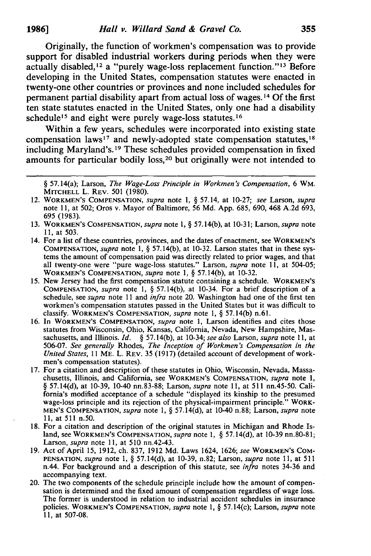Originally, the function of workmen's compensation was to provide support for disabled industrial workers during periods when they were actually disabled,12 a "purely wage-loss replacement function."13 Before developing in the United States, compensation statutes were enacted in twenty-one other countries or provinces and none included schedules for permanent partial disability apart from actual loss of wages. 14 Of the first ten state statutes enacted in the United States, only one had a disability schedule<sup>15</sup> and eight were purely wage-loss statutes.<sup>16</sup>

Within a few years, schedules were incorporated into existing state compensation laws<sup>17</sup> and newly-adopted state compensation statutes,  $18$ including Maryland's. 19 These schedules provided compensation in fixed amounts for particular bodily loss,20 but originally were not intended to

- 12. WORKMEN'S COMPENSATION, *supra* note 1, § 57.14, at 10-27; *see* Larson, *supra*  note 11, at 502; Oros v. Mayor of Baltimore, 56 Md. App. 685, 690, 468 A.2d 693, 695 (1983).
- 13. WORKMEN'S COMPENSATION, *supra* note 1, § 57. 14(b), at 10-31; Larson, *supra* note 11, at 503.
- 14. For a list of these countries, provinces, and the dates of enactment, see WORKMEN'S COMPENSATION, *supra* note 1, § 57. 14(b), at 10-32. Larson states that in these systems the amount of compensation paid was directly related to prior wages, and that all twenty-one were "pure wage-loss statutes." Larson, *supra* note II, at 504-05; WORKMEN'S COMPENSATION, *supra* note I, § 57.14(b), at 10-32.
- 15. New Jersey had the first compensation statute containing a schedule. WORKMEN'S COMPENSATION, *supra* note 1, § 57. 14(b), at 10-34. For a brief description of a schedule, see *supra* note 11 and *infra* note 20. Washington had one of the first ten workmen's compensation statutes passed in the United States but it was difficult to classify. WORKMEN'S COMPENSATION, *supra* note 1, § 57. 14(b) n.61.
- 16. In WORKMEN'S COMPENSATION, *supra* note I, Larson identifies and cites those statutes from Wisconsin, Ohio, Kansas, California, Nevada, New Hampshire, Massachusetts, and Illinois. /d. § 57.14(b), at 10-34; *see also* Larson, *supra* note II, at *506-07. See generally* Rhodes, *The Inception of Workmen's Compensation in the United States,* II ME. L. REV. 35 (1917) (detailed account of development of workmen's compensation statutes).
- 17. For a citation and description of these statutes in Ohio, Wisconsin, Nevada, Massachusetts, Illinois, and California, see WORKMEN'S COMPENSATION, *supra* note I, § 57. 14(d), at 10-39, 10-40 nn.83-88; Larson, *supra* note 11, at 511 nn.45-50. California's modified acceptance of a schedule "displayed its kinship to the presumed wage-loss principle and its rejection of the physical-impairment principle." WORK-MEN'S COMPENSATION, *supra* note I, § 57.14(d), at 10-40 n.88; Larson, *supra* note 11, at 511 n.50.
- 18. For a citation and description of the original statutes in Michigan and Rhode Island, see WORKMEN'S COMPENSATION, *supra* note I, § 57.14(d), at 10-39 nn.80-81; Larson, *supra* note 11, at 510 nn.42-43.
- 19. Act of April 15, 1912, ch. 837, 1912 Md. Laws 1624, 1626; *see* WORKMEN'S COM-PENSATION, *supra* note I, § 57.14(d), at 10-39, n.82; Larson, *supra* note II, at 511 n.44. For background and a description of this statute, see *infra* notes 34-36 and accompanying text.
- 20. The two components of the schedule principle include how the amount of compensation is determined and the fixed amount of compensation regardless of wage loss. The former is understood in relation to industrial accident schedules in insurance policies. WORKMEN'S COMPENSATION, *supra* note I, § 57.14(c); Larson, *supra* note II, at 507-08.

<sup>§ 57.14(</sup>a); Larson, *The Wage-Loss Principle in Workmen's Compensation,* 6 WM. MITCHELL L. REV. 501 (1980).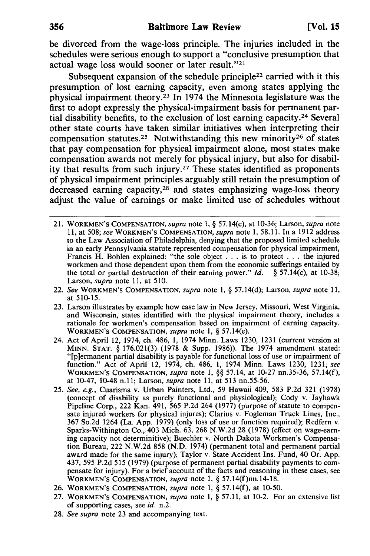be divorced from the wage-loss principle. The injuries included in the schedules were serious enough to support a "conclusive presumption that actual wage loss would sooner or later result."<sup>21</sup>

Subsequent expansion of the schedule principle<sup>22</sup> carried with it this presumption of lost earning capacity, even among states applying the physical impairment theory.23 In 1974 the Minnesota legislature was the first to adopt expressly the physical-impairment basis for permanent partial disability benefits, to the exclusion of lost earning capacity.<sup>24</sup> Several other state courts have taken similar initiatives when interpreting their compensation statutes.<sup>25</sup> Notwithstanding this new minority<sup>26</sup> of states that pay compensation for physical impairment alone, most states make compensation awards not merely for physical injury, but also for disability that results from such injury.27 These states identified as proponents of physical impairment principles arguably still retain the presumption of decreased earning capacity,<sup>28</sup> and states emphasizing wage-loss theory adjust the value of earnings or make limited use of schedules without

- 21. WORKMEN'S COMPENSATION, *supra* note 1, § 57. 14(c), at lO-36; Larson, *supra* note 11, at 508; *see* WORKMEN'S COMPENSATION, *supra* note 1, 58.11. In a 1912 address to the Law Association of Philadelphia, denying that the proposed limited schedule in an early Pennsylvania statute represented compensation for physical impairment, Francis H. Bohlen explained: "the sole object . . . is to protect . . . the injured workmen and those dependent upon them from the economic sufferings entailed by the total or partial destruction of their earning power." *[d.* § 57. 14(c), at 10-38; Larson, *supra* note 11, at 510.
- *22. See* WORKMEN'S COMPENSATION, *supra* note 1, § 57.l4(d); Larson, *supra* note 11, at 5lO-15.
- 23. Larson illustrates by example how case law in New Jersey, Missouri, West Virginia, and Wisconsin, states identified with the physical impairment theory, includes a rationale for workmen's compensation based on impairment of earning capacity. WORKMEN'S COMPENSATION, *supra* note 1, § 57.14(e).
- 24. Act of April 12, 1974, ch. 486, 1, 1974 Minn. Laws 1230, 1231 (current version at MINN. STAT. § 176.021(3) (1978 & Supp. 1986)). The 1974 amendment stated: "[p ]ermanent partial disability is payable for functional loss of use or impairment of function." Act of April 12, 1974, ch. 486, 1, 1974 Minn. Laws 1230, 1231; *see*  WORKMEN'S COMPENSATION, *supra* note 1, §§ 57.14, at lO-27 nn.35-36, 57.14(f), at lO-47, 10-48 n.ll; Larson, *supra* note 11, at 513 nn.55-56.
- *25. See, e.g.,* Cuarisma v. Urban Painters, Ltd., 59 Hawaii 409, 583 P.2d 321 (1978) (concept of disability as purely functional and physiological); Cody v. Jayhawk Pipeline Corp., 222 Kan. 491, 565 P.2d 264 (1977) (purpose of statute to compensate injured workers for physical injures); Clarius v. Fogleman Truck Lines, Inc., 367 So.2d 1264 (La. App. 1979) (only loss of use or function required); Redfern v. Sparks-Withington Co., 403 Mich. 63, 268 N.W.2d 28 (1978) (effect on wage-earning capacity not determinitive); Buechler v. North Dakota Workmen's Compensation Bureau, 222 N.W.2d 858 (N.D. 1974) (permanent total and permanent partial award made for the same injury); Taylor v. State Accident Ins. Fund, 40 Or. App. 437, 595 P.2d 515 (1979) (purpose of permanent partial disability payments to compensate for injury). For a brief account of the facts and reasoning in these cases, see WORKMEN'S COMPENSATION, *supra* note 1, § 57.14(f)nn.14-18.
- 26. WORKMEN'S COMPENSATION, *supra* note 1, § 57. 14(f), at lO-50.
- 27. WORKMEN'S COMPENSATION, *supra* note 1, § 57.11, at 10-2. For an extensive list of supporting cases, see *id.* n.2.
- *28. See supra* note 23 and accompanying text.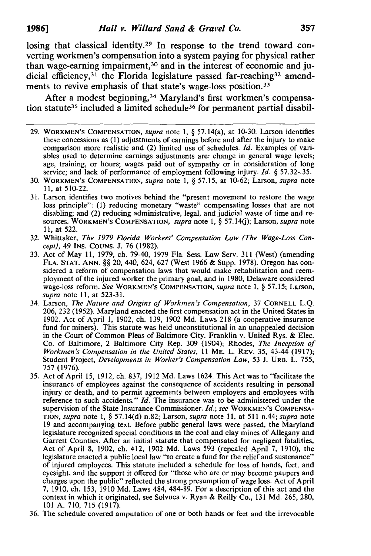losing that classical identity.29 In response to the trend toward converting workmen's compensation into a system paying for physical rather than wage-earning impairment,<sup>30</sup> and in the interest of economic and judicial efficiency,<sup>31</sup> the Florida legislature passed far-reaching<sup>32</sup> amendments to revive emphasis of that state's wage-loss position.33

After a modest beginning,<sup>34</sup> Maryland's first workmen's compensation statute<sup>35</sup> included a limited schedule<sup>36</sup> for permanent partial disabil-

- 29. WORKMEN'S COMPENSATION, *supra* note 1, § 57. 14(a), at 10-30. Larson identifies these concessions as (1) adjustments of earnings before and after the injury to make comparison more realistic and (2) limited use of schedules. */d.* Examples of variables used to determine earnings adjustments are: change in general wage levels; age, training, or hours; wages paid out of sympathy or in consideration of long service; and lack of performance of employment following injury. *Id.* § 57.32-.35.
- 30. WORKMEN'S COMPENSATION, *supra* note 1, § 57.15, at 10-62; Larson, *supra* note 11, at 510-22.
- 31. Larson identifies two motives behind the "present movement to restore the wage loss principle": (1) reducing monetary "waste" compensating losses that are not disabling; and (2) reducing administrative, legal, and judicial waste of time and resources. WORKMEN'S COMPENSATION, *supra* note 1, § 57. 14(j); Larson, *supra* note 11, at 522.
- 32. Whittaker, *The* 1979 *Florida Workers' Compensation Law (The Wage-Loss Concept),* 49 INS. COUNS. J. 76 (1982).
- 33. Act of May 11, 1979, ch. 79-40, 1979 Fla. Sess. Law Serv. 311 (West) (amending FLA. STAT. ANN. §§ 20, 440, 624, 627 (West 1966 & Supp. 1978). Oregon has considered a reform of compensation laws that would make rehabilitation and reemployment of the injured worker the primary goal, and in 1980, Delaware considered wage-loss reform. *See* WORKMEN'S COMPENSATION, *supra* note 1, § 57.15; Larson, *supra* note 11, at 523-31.
- 34. Larson, *The Nature and Origins of Workmen s Compensation,* 37 CORNELL L.Q. 206,232 (1952). Maryland enacted the first compensation act in the United States in 1902. Act of April 1, 1902, ch. 139, 1902 Md. Laws 218 (a cooperative insurance fund for miners). This statute was held unconstitutional in an unappealed decision in the Court of Common Pleas of Baltimore City. Franklin V. United Rys. & Elec. Co. of Baltimore, 2 Baltimore City Rep. 309 (1904); Rhodes, *The Inception of Workmen's Compensation in the United States,* 11 ME. L. REV. 35, 43-44 (1917); Student Project, *Developments in Worker's Compensation Law*, 53 J. URB. L. 755, 757 (1976).
- 35. Act of April 15, 1912, ch. 837, 1912 Md. Laws 1624. This Act was to "facilitate the insurance of employees against the consequence of accidents resulting in personal injury or death, and to permit agreements between employers and employees with reference to such accidents." *Id.* The insurance was to be administered under the supervision of the State Insurance Commissioner. *Id.; see* WORKMEN'S COMPENSA-TION, *supra* note 1, § 57. 14(d) n.82; Larson, *supra* note II, at 511 n.44; *supra* note 19 and accompanying text. Before public general laws were passed, the Maryland legislature recognized special conditions in the coal and clay mines of Allegany and Garrett Counties. After an initial statute that compensated for negligent fatalities, Act of April 8, 1902, ch. 412, 1902 Md. Laws 593 (repealed April 7, 1910), the legislature enacted a public local law "to create a fund for the relief and sustenance" of injured employees. This statute included a schedule for loss of hands, feet, and eyesight, and the support it offered for "those who are or may become paupers and charges upon the public" reflected the strong presumption of wage loss. Act of April 7, 1910, ch. 153, 1910 Md. Laws 484, 484-89. For a description of this act and the context in which it originated, see Solvuca V. Ryan & Reilly Co., 131 Md. 265,280, 101 A. 710, 715 (1917).
- 36. The schedule covered amputation of one or both hands or feet and the irrevocable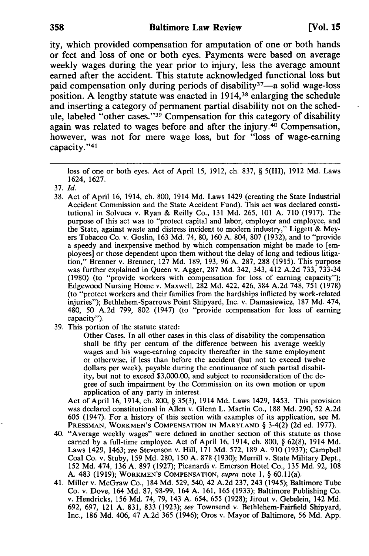ity, which provided compensation for amputation of one or both hands or feet and loss of one or both eyes. Payments were based on average weekly wages during the year prior to injury, less the average amount earned after the accident. This statute acknowledged functional loss but paid compensation only during periods of disability<sup>37</sup>-a solid wage-loss position. A lengthy statute was enacted in 1914,38 enlarging the schedule and inserting a category of permanent partial disability not on the schedule, labeled "other cases."39 Compensation for this category of disability again was related to wages before and after the injury.40 Compensation, however, was not for mere wage loss, but for "loss of wage-earning capacity."41

loss of one or both eyes. Act of April 15, 1912, ch. 837, § 5(111), 1912 Md. Laws 1624, 1627.

- 38. Act of April 16, 1914, ch. 800, 1914 Md. Laws 1429 (creating the State Industrial Accident Commission and the State Accident Fund). This act was declared constitutional in Solvuca v. Ryan & Reilly Co., 131 Md. 265, 101 A. 710 (1917). The purpose of this act was to "protect capital and labor, employer and employee, and the State, against waste and distress incident to modern industry," Liggett & Meyers Tobacco Co. v. Goslin, 163 Md. 74, 80, 160 A. 804, 807 (1932), and to "provide a speedy and inexpensive method by which compensation might be made to [employees] or those dependent upon them without the delay of long and tedious litigation," Brenner v. Brenner, 127 Md. 189, 193,96 A. 287, 288 (1915). This purpose was further explained in Queen v. Agger, 287 Md. 342, 343, 412 A.2d 733, 733-34 (1980) (to "provide workers with compensation for loss of earning capacity"); Edgewood Nursing Home v. Maxwell, 282 Md. 422, 426, 384 A.2d 748, 751 (1978) (to "protect workers and their families from the hardships inflicted by work-related injuries"); Bethlehem-Sparrows Point Shipyard, Inc. v. Damasiewicz, 187 Md. 474, 480, 50 A.2d 799, 802 (1947) (to "provide compensation for loss of earning capacity").
- 39. This portion of the statute stated:

Other Cases. In all other cases in this class of disability the compensation shall be fifty per centum of the difference between his average weekly wages and his wage-earning capacity thereafter in the same employment or otherwise, if less than before the accident (but not to exceed twelve dollars per week), payable during the continuance of such partial disability, but not to exceed \$3,000.00, and subject to reconsideration of the degree of such impairment by the Commission on its own motion or upon application of any party in interest.

Act of April 16, 1914, ch. 800, § 35(3), 1914 Md. Laws 1429, 1453. This provision was declared constitutional in Allen v. Glenn L. Martin Co., 188 Md. 290, 52 A.2d 605 (1947). For a history of this section with examples of its application, see M. PRESSMAN, WORKMEN'S COMPENSATION IN MARYLAND § 3-4(2) (2d ed. 1977).

- 40. "Average weekly wages" were defined in another section of this statute as those earned by a full-time employee. Act of April 16, 1914, ch. 800, § 62(8), 1914 Md. Laws 1429, 1463; *see* Stevenson v. Hill, 171 Md. 572,189 A. 910 (1937); Campbell Coal Co. v. Stuby, 159 Md. 280, 150 A. 878 (1930); Merrill v. State Military Dept., 152 Md. 474, 136 A. 897 (1927); Picanardi v. Emerson Hotel Co., 135 Md. 92, 108 A. 483 (1919); WORKMEN'S COMPENSATION, *supra* note 1, § 60. 11 (a).
- 41. Miller v. McGraw Co., 184 Md. 529,540,42 A.2d 237, 243 (1945); Baltimore Tube Co. v. Dove, 164 Md. 87, 98-99, 164 A. 161, 165 (1933); Baltimore Publishing Co. v. Hendricks, 156 Md. 74, 79, 143 A. 654, 655 (1928); Jirout v. Gebelein, 142 Md. 692, 697, 121 A. 831, 833 (1923); *see* Townsend v. Bethlehem-Fairfield Shipyard, Inc., 186 Md. 406, 47 A.2d 365 (1946); Oros v. Mayor of Baltimore, 56 Md. App.

*<sup>37.</sup>Id.*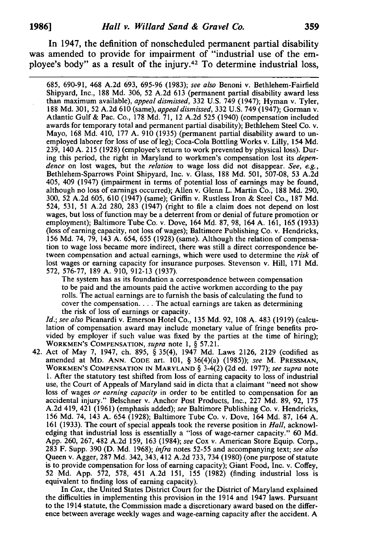In 1947, the definition of nonscheduled permanent partial disability was amended to provide for impairment of "industrial use of the employee's body" as a result of the injury.42 To determine industrial loss,

685, 690-91, 468 A.2d 693, 695-96 (1983); *see also* Benoni v. Bethlehem-Fairfield Shipyard, Inc., 188 Md. 306, 52 A.2d 613 (permanent partial disability award less than maximum available), *appeal dismissed,* 332 U.S. 749 (1947); Hyman v. Tyler, 188 Md. 301, 52 A.2d 610 (same), *appeal dismissed,* 332 U.S. 749 (1947); Gorman v. Atlantic Gulf & Pac. Co., 178 Md. 71, 12 A.2d 525 (1940) (compensation included awards for temporary total and permanent partial disability); Bethlehem Steel Co. v. Mayo, 168 Md. 410, 177 A. 910 (1935) (permanent partial disability award to unemployed laborer for loss of use of leg); Coca-Cola Bottling Works v. Lilly, 154 Md. 239, 140 A. 215 (1928) (employee's return to work prevented by physicalloss). During this period, the right in Maryland to workmen's compensation lost its *dependence* on lost wages, but the *relation* to wage loss did not disappear. *See, e.g.,*  Bethlehem-Sparrows Point Shipyard, Inc. v. Glass, 188 Md. 501, 507-08, 53 A.2d 405, 409 (1947) (impairment in terms of potential loss of earnings may be found, although no loss of earnings occurred); Allen v. Glenn L. Martin Co., 188 Md. 290, 300, 52 A.2d 605, 610 (1947) (same); Griffin v. Rustless Iron & Steel Co., 187 Md. 524, 531, 51 A.2d 280, 283 (1947) (right to file a claim does not depend on lost wages, but loss of function may be a deterrent from or denial of future promotion or employment); Baltimore Tube Co. v. Dove, 164 Md. 87,98, 164 A. 161, 165 (1933) (loss of earning capacity, not loss of wages); Baltimore Publishing Co. v. Hendricks, 156 Md. 74, 79, 143 A. 654, 655 (1928) (same). Although the relation of compensation to wage loss became more indirect, there was still a direct correspondence between compensation and actual earnings, which were used to determine the *risk* of lost wages or earning capacity for insurance purposes. Stevenson v. Hill, 171 Md. 572,576-77, 189 A. 910, 912-13 (1937).

The system has as its foundation a correspondence between compensation to be paid and the amounts paid the active workmen according to the pay rolls. The actual earnings are to furnish the basis of calculating the fund to cover the compensation.... The actual earnings are taken as determining the risk of loss of earnings or capacity.

*Id.; see also* Picanardi v. Emerson Hotel Co., 135 Md. 92, 108 A. 483 (1919) (calculation of compensation award may include monetary value of fringe benefits provided by employer if such value was fixed by the parties at the time of hiring); WORKMEN'S COMPENSATION, *supra* note 1, § 57.21.

42. Act of May 7, 1947, ch. 895, § 35(4), 1947 Md. Laws 2126, 2129 (codified as amended at MD. ANN. CODE art. 101, § 36(4)(a) (1985)); *see* M. PRESSMAN, WORKMEN'S COMPENSATION IN MARYLAND § 3-4(2) (2d ed. 1977); *see supra* note 1. After the statutory test shifted from loss of earning capacity to loss of industrial use, the Court of Appeals of Maryland said in dicta that a claimant "need not show loss of wages *or earning capacity* in order to be entitled to compensation for an accidental injury." Belschner v. Anchor Post Products, Inc., 227 Md. 89, 92, 175 A.2d 419,421 (1961) (emphasis added); *see* Baltimore Publishing Co. v. Hendricks, 156 Md. 74, 143 A. 654 (1928); Baltimore Tube Co. v. Dove, 164 Md. 87, 164 A. 161 (1933). The court of special appeals took the reverse position in *Hall,* acknowledging that industrial loss is essentially a "loss of wage-earner capacity." 60 Md. App. 260, 267,482 A.2d 159, 163 (1984); *see* Cox v. American Store Equip. Corp., 283 F. Supp. 390 (D. Md. 1968); *infra* notes 52-55 and accompanying text; *see also*  Queen v. Agger, 287 Md. 342, 343,412 A.2d 733, 734 (1980) (one purpose of statute is to provide compensation for loss of earning capacity); Giant Food, Inc. v. Coffey, 52 Md. App. 572, 578, 451 A.2d 151, 155 (1982) (finding industrial loss is equivalent to finding loss of earning capacity).

In *Cox,* the United States District Court for the District of Maryland explained the difficulties in implementing this provision in the 1914 and 1947 laws. Pursuant to the 1914 statute, the Commission made a discretionary award based on the difference between average weekly wages and wage-earning capacity after the accident. A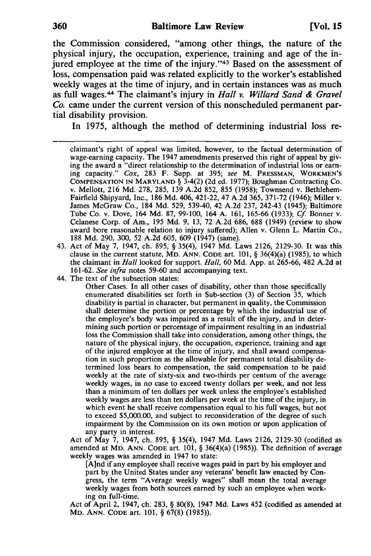the Commission considered, "among other things, the nature of the physical injury, the occupation, experience, training and age of the injured employee at the time of the injury."<sup>43</sup> Based on the assessment of loss, compensation paid was related explicitly to the worker's established weekly wages at the time of injury, and in certain instances was as much as full wages.44 The claimant's injury in *Hall v. Willard Sand* & *Gravel Co.* came under the current version of this nonscheduled permanent partial disability provision.

In 1975, although the method of determining industrial loss re-

claimant's right of appeal was limited, however, to the factual determination of wage-earning capacity. The 1947 amendments preserved this right of appeal by giving the award a "direct relationship to the determination of industrial loss or earning capacity." *Cox,* 283 F. Supp. at 395; *see* M. PRESSMAN, WORKMEN'S COMPENSATION IN MARYLAND § 3-4(2) (2d ed. 1977); Boughman Contracting Co. v. Mellott, 216 Md. 278, 285, 139 A.2d 852, 855 (1958); Townsend v. Bethlehem-Fairfield Shipyard, Inc., 186 Md. 406, 421-22, 47 A.2d 365,371-72 (1946); Miller v. James McGraw Co., 184 Md. 529, 539-40, 42 A.2d 237, 242-43 (1945); Baltimore Tube Co. v. Dove, 164 Md. 87, 99-100, 164 A. 161, 165-66 (1933); *Cf* Bonner v. Celanese Corp. of Am., 195 Md. 9, 13, 72 A.2d 686, 688 (1949) (review to show award bore reasonable relation to injury suffered); Allen v. Glenn L. Martin Co., 188 Md. 290, 300, 52 A.2d 605, 609 (1947) (same).

- 43. Act of May 7, 1947, ch. 895, § 35(4), 1947 Md. Laws 2126,2129-30. It was this clause in the current statute, MD. ANN. CODE art. 101, § 36(4)(a) (1985), to which the claimant in *Hall* looked for support. *Hall,* 60 Md. App. at 265-66, 482 A.2d at *161-62. See infra* notes 59-60 and accompanying text.
- 44. The text of the subsection states:

Other Cases. In all other cases of disability, other than those specifically enumerated disabilities set forth in Sub-section (3) of Section 35, which disability is partial in character, but permanent in quality, the Commission shall determine the portion or percentage by which the industrial use of the employee's body was impaired as a result of the injury, and in determining such portion or percentage of impairment resulting in an industrial loss the Commission shall take into consideration, among other things, the nature of the physical injury, the occupation, experience, training and age of the injured employee at the time of injury, and shall award compensation in such proportion as the allowable for permanent total disability determined loss bears to compensation, the said compensation to be paid weekly at the rate of sixty-six and two-thirds per centum of the average weekly wages, in no case to exceed twenty dollars per week, and not less than a minimum of ten dollars per week unless the employee's established weekly wages are less than ten dollars per week at the time of the injury, in which event he shall receive compensation equal to his full wages, but not to exceed \$5,000.00, and subject to reconsideration of the degree of such impairment by the Commission on its own motion or upon application of any party in interest.

Act of May 7, 1947, ch. 895, § 35(4), 1947 Md. Laws 2126, 2129-30 (codified as amended at MD. ANN. CODE art. 101, § 36(4)(a) (1985)). The definition of average weekly wages was amended in 1947 to state:

[A]nd if any employee shall receive wages paid in part by his employer and part by the United States under any veterans' benefit law enacted by Congress, the term "Average weekly wages" shall mean the total average weekly wages from both sources earned by such an employee when working on full-time.

Act of April 2, 1947, ch. 283, § 80(8), 1947 Md. Laws 452 (codified as amended at MD. ANN. CODE art. 101, § 67(8) (1985».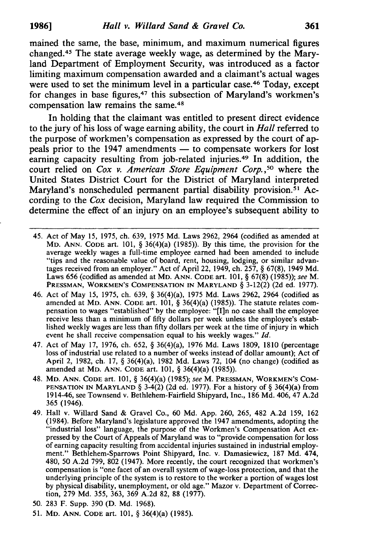mained the same, the base, minimum, and maximum numerical figures changed.45 The state average weekly wage, as determined by the Maryland Department of Employment Security, was introduced as a factor limiting maximum compensation awarded and a claimant's actual wages were used to set the minimum level in a particular case.<sup>46</sup> Today, except for changes in base figures,<sup>47</sup> this subsection of Maryland's workmen's compensation law remains the same.48

In holding that the claimant was entitled to present direct evidence to the jury of his loss of wage earning ability, the court in *Hall* referred to the purpose of workmen's compensation as expressed by the court of appeals prior to the 1947 amendments — to compensate workers for lost earning capacity resulting from job-related injuries.49 In addition, the court relied on *Cox v. American Store Equipment Corp.,50* where the United States District Court for the District of Maryland interpreted Maryland's nonscheduled permanent partial disability provision.<sup>51</sup> According to the *Cox* decision, Maryland law required the Commission to determine the effect of an injury on an employee's subsequent ability to

- 45. Act of May 15, 1975, ch. 639, 1975 Md. Laws 2962,2964 (codified as amended at MD. ANN. CODE art. 101,  $\S$  36(4)(a) (1985)). By this time, the provision for the average weekly wages a full-time employee earned had been amended to include "tips and the reasonable value of board, rent, housing, lodging, or similar advantages received from an employer." Act of April 22, 1949, ch. 257, § 67(8), 1949 Md. Laws 656 (codified as amended at MD. ANN. CODE art. 101, § 67(8) (1985)); *see* M. PRESSMAN, WORKMEN'S COMPENSATION IN MARYLAND § 3-12(2) (2d ed. 1977).
- 46. Act of May 15, 1975, ch. 639, § 36(4)(a), 1975 Md. Laws 2962, 2964 (codified as amended at MD. ANN. CODE art. 101, § 36(4)(a) (1985)). The statute relates compensation to wages "established" by the employee: "[I]n no case shall the employee receive less than a minimum of fifty dollars per week unless the employee's established weekly wages are less than fifty dollars per week at the time of injury in which event he shall receive compensation equal to his weekly wages." *[d.*
- 47. Act of May 17, 1976, ch. 652, § 36(4)(a), 1976 Md. Laws 1809, 1810 (percentage loss of industrial use related to a number of weeks instead of dollar amount); Act of April 2, 1982, ch. 17, § 36(4)(a), 1982 Md. Laws 72, 104 (no change) (codified as amended at MD. ANN. CODE art. 101, § 36(4)(a) (1985)).
- 48. MD. ANN. CODE art. 101, § 36(4)(a) (1985); *see* M. PRESSMAN, WORKMEN'S COM-PENSATION IN MARYLAND §  $3-4(2)$  (2d ed. 1977). For a history of § 36(4)(a) from 1914-46, see Townsend v. Bethlehem-Fairfield Shipyard, Inc., 186 Md. 406, 47 A.2d 365 (1946).
- 49. Hall v. Willard Sand & Gravel Co., 60 Md. App. 260, 265, 482 A.2d 159, 162 (1984). Before Maryland's legislature approved the 1947 amendments, adopting the "industrial loss" language, the purpose of the Workmen's Compensation Act expressed by the Court of Appeals of Maryland was to "provide compensation for loss of earning capacity resulting from accidental injuries sustained in industrial employment." Bethlehem-Sparrows Point Shipyard, Inc. v. Damasiewicz, 187 Md. 474, 480, 50 A.2d 799, 802 (1947). More recently, the court recognized that workmen's compensation is "one facet of an overall system of wage-loss protection, and that the underlying principle of the system is to restore to the worker a portion of wages lost by physical disability, unemployment, or old age." Mazor v. Department of Correction, 279 Md. 355, 363, 369 A.2d 82, 88 (1977).
- 50. 283 F. Supp. 390 (D. Md. 1968).
- 51. MD. ANN. CODE art. 101, § 36(4)(a) (1985).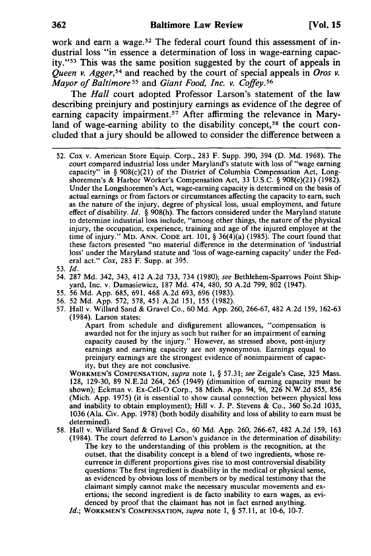work and earn a wage.<sup>52</sup> The federal court found this assessment of industrial loss "in essence a determination of loss in wage-earning capacity."53 This was the same position suggested by the court of appeals in *Queen v. Agger,54* and reached by the court of special appeals in *Oros v. Mayor of Baltimore* 55 and *Giant Food, Inc. v. Coffey.56* 

The *Hall* court adopted Professor Larson's statement of the law describing preinjury and postinjury earnings as evidence of the degree of earning capacity impairment.<sup>57</sup> After affirming the relevance in Maryland of wage-earning ability to the disability concept,<sup>58</sup> the court concluded that a jury should be allowed to consider the difference between a

- 52. Cox v. American Store Equip. Corp., 283 F. Supp. 390, 394 (D. Md. 1968). The court compared industrial loss under Maryland's statute with loss of "wage earning capacity" in §  $908(c)(21)$  of the District of Columbia Compensation Act, Longshoremen's & Harbor Worker's Compensation Act, 33 U.S.c. § 908(c)(21) (1982). Under the Longshoremen's Act, wage-earning capacity is determined on the basis of actual earnings or from factors or circumstances affecting the capacity to earn, such as the nature of the injury, degree of physical loss, usual employment, and future effect of disability. *Id.* § 908(h). The factors considered under the Maryland statute to determine industrial loss include, "among other things, the nature of the physical injury, the occupation, experience, training and age of the injured employee at the time of injury." MD. ANN. CODE art.  $101, \S 36(4)(a)$  (1985). The court found that these factors presented "no material difference in the determination of 'industrial loss' under the Maryland statute and 'loss of wage-earning capacity' under the Federal act." *Cox,* 283 F. Supp. at 395.
- *53.Id.*
- 54. 287 Md. 342, 343, 412 A.2d 733, 734 (1980); *see* Bethlehem-Sparrows Point Shipyard, Inc. v. Damasiewicz, 187 Md. 474,480, 50 A.2d 799, 802 (1947).
- 55. 56 Md. App. 685, 691, 468 A.2d 693, 696 (1983).
- 56. 52 Md. App. 572, 578,451 A.2d 151, 155 (1982).
- 57. Hall v. Willard Sand & Gravel Co., 60 Md. App. 260,266-67,482 A.2d 159, 162-63 (1984). Larson states:

Apart from schedule and disfigurement allowances, "compensation is awarded not for the injury as such but rather for an impairment of earning capacity caused by the injury." However, as stressed above, post-injury earnings and earning capacity are not synonymous. Earnings equal to preinjury earnings are the strongest evidence of nonimpairment of capacity, but they are not conclusive.

WORKMEN'S COMPENSATION, *supra* note 1, § 57.31; *see* Zeigale's Case, 325 Mass. 128, 129-30, 89 N.E.2d 264, 265 (1949) (dimunition of earning capacity must be shown); Eckman v. Ex-Cell-O Corp., 58 Mich. App. 94, 96,226 N.W.2d 855, 856 (Mich. App. 1975) (it is essential to show causal connection between physical loss and inability to obtain employment); Hill v. J. P. Stevens & Co., 360 So.2d 1035, 1036 (Ala. Civ. App. 1978) (both bodily disability and loss of ability to earn must be determined).

- 58. Hall v. Willard Sand & Gravel Co., 60 Md. App. 260, 266-67, 482 A.2d 159, 163 (1984). The court deferred to Larson's guidance in the determination of disability:
	- The key to the understanding of this problem is the recognition, at the outset, that the disability concept is a blend of two ingredients, whose recurrence in different proportions gives rise to most controversial disability questions: The first ingredient is disability in the medical or physical sense, as evidenced by obvious loss of members or by medical testimony that the claimant simply cannot make the necessary muscular movements and exertions; the second ingredient is de facto inability to earn wages, as evidenced by proof that the claimant has not in fact earned anything.
	- *Id.;* WORKMEN'S COMPENSATION, *supra* note I, § 57.11, at 10-6, 10-7.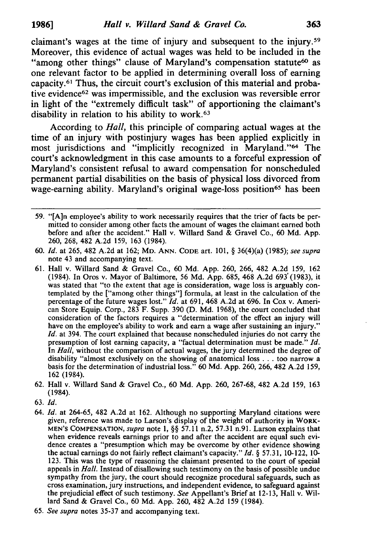claimant's wages at the time of injury and subsequent to the injury. 59 Moreover, this evidence of actual wages was held to be included in the "among other things" clause of Maryland's compensation statute<sup>60</sup> as one relevant factor to be applied in determining overall loss of earning capacity.61 Thus, the circuit court's exclusion of this material and probative evidence<sup>62</sup> was impermissible, and the exclusion was reversible error in light of the "extremely difficult task" of apportioning the claimant's disability in relation to his ability to work.<sup>63</sup>

According to *Hall,* this principle of comparing actual wages at the time of an injury with postinjury wages has been applied explicitly in most jurisdictions and "implicitly recognized in Maryland."64 The court's acknowledgment in this case amounts to a forceful expression of Maryland's consistent refusal to award compensation for nonscheduled permanent partial disabilities on the basis of physical loss divorced from wage-earning ability. Maryland's original wage-loss position<sup>65</sup> has been

- 61. Hall v. Willard Sand & Gravel Co., 60 Md. App. 260, 266, 482 A.2d 159, 162 (1984). In Oros v. Mayor of Baltimore, 56 Md. App. 685, 468 A.2d 693' (1983), it was stated that "to the extent that age is consideration, wage loss is arguably contemplated by the ["among other things"] formula, at least in the calculation of the percentage of the future wages lost." *[d.* at 691, 468 A.2d at 696. In Cox v. American Store Equip. Corp., 283 F. Supp. 390 (D. Md. 1968), the court concluded that consideration of the factors requires a "determination of the effect an injury will have on the employee's ability to work and earn a wage after sustaining an injury." *[d.* at 394. The court explained that because nonscheduled injuries do not carry the presumption of lost earning capacity, a "factual determination must be made." *[d.*  In *Hall,* without the comparison of actual wages, the jury determined the degree of disability "almost exclusively on the showing of anatomical loss ... too narrow a basis for the determination of industrial loss." 60 Md. App. 260, 266, 482 A.2d 159, 162 (1984).
- 62. Hall v. Willard Sand & Gravel Co., 60 Md. App. 260, 267-68,482 A.2d 159, 163 (1984).
- *63. [d.*
- *64. [d.* at 264-65, 482 A.2d at 162. Although no supporting Maryland citations were given, reference was made to Larson's display of the weight of authority in WORK-MEN'S COMPENSATION, *supra* note 1, §§ 57.11 n.2, 57.31 n.91. Larson explains that when evidence reveals earnings prior to and after the accident are equal such evidence creates a "presumption which may be overcome by other evidence showing the actual earnings do not fairly reflect claimant's capacity." *[d.* § 57.31, 10-122, 10- 123. This was the type of reasoning the claimant presented to the court of special appeals in *Hall.* Instead of disallowing such testimony on the basis of possible undue sympathy from the jury, the court should recognize procedural safeguards, such as cross examination, jury instructions, and independent evidence, to safeguard against the prejudicial effect of such testimony. *See* Appellant's Brief at 12-13, Hall v. Willard Sand & Gravel Co., 60 Md. App. 260, 482 A.2d 159 (1984).
- *65. See supra* notes 35-37 and accompanying text.

<sup>59. &</sup>quot;[A]n employee's ability to work necessarily requires that the trier of facts be permitted to consider among other facts the amount of wages the claimant earned both before and after the accident." Hall v. Willard Sand & Gravel Co., 60 Md. App. 260, 268, 482 A.2d 159, 163 (1984).

*<sup>60. [</sup>d.* at 265, 482 A.2d at 162; MD. ANN. CODE art. 101, § 36(4)(a) (1985); *see supra*  note 43 and accompanying text.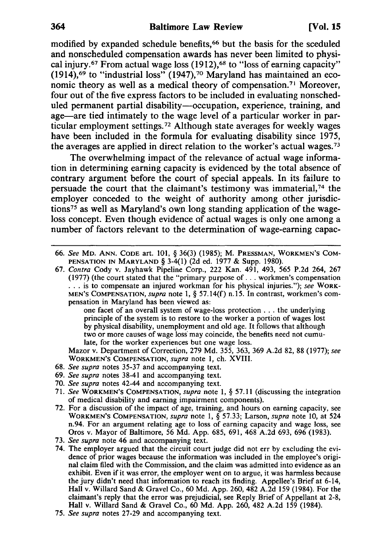modified by expanded schedule benefits,<sup>66</sup> but the basis for the sceduled and nonscheduled compensation awards has never been limited to physical injury.<sup>67</sup> From actual wage loss  $(1912)$ , <sup>68</sup> to "loss of earning capacity" (1914),<sup>69</sup> to "industrial loss" (1947),<sup>70</sup> Maryland has maintained an economic theory as well as a medical theory of compensation.71 Moreover, four out of the five express factors to be included in evaluating nonscheduled permanent partial disability-occupation, experience, training, and age-are tied intimately to the wage level of a particular worker in particular employment settings. 72 Although state averages for weekly wages have been included in the formula for evaluating disability since 1975, the averages are applied in direct relation to the worker's actual wages.73

The overwhelming impact of the relevance of actual wage information in determining earning capacity is evidenced by the total absence of contrary argument before the court of special appeals. In its failure to persuade the court that the claimant's testimony was immaterial,<sup>74</sup> the employer conceded to the weight of authority among other jurisdictions75 as well as Maryland's own long standing application of the wageloss concept. Even though evidence of actual wages is only one among a number of factors relevant to the determination of wage-earning capac-

one facet of an overall system of wage-loss protection ... the underlying principle of the system is to restore to the worker a portion of wages lost by physical disability, unemployment and old age. It follows that although two or more causes of wage loss may coincide, the benefits need not cumulate, for the worker experiences but one wage loss.

Mazor v. Department of Correction, 279 Md. 355, 363, 369 A.2d 82, 88 (1977); *see*  WORKMEN'S COMPENSATION, *supra* note 1, ch. XVIII.

- *68. See supra* notes 35-37 and accompanying text.
- *69. See supra* notes 38-41 and accompanying text.
- *70. See supra* notes 42-44 and accompanying text.
- 71. *See* WORKMEN'S COMPENSATION, *supra* note 1, § 57.11 (discussing the integration of medical disability and earning impairment components).
- 72. For a discussion of the impact of age, training, and hours on earning capacity, see WORKMEN'S COMPENSATION, *supra* note 1, § 57.33; Larson, *supra* note 10, at 524 n.94. For an argument relating age to loss of earning capacity and wage loss, see Oros v. Mayor of Baltimore, 56 Md. App. 685, 691, 468 A.2d 693, 696 (1983).
- *73. See supra* note 46 and accompanying text.
- 74. The employer argued that the circuit court judge did not err by excluding the evidence of prior wages because the information was included in the employee's original claim filed with the Commission, and the claim was admitted into evidence as an exhibit. Even if it was error, the employer went on to argue, it was harmless because the jury didn't need that information to reach its finding. Appellee's Brief at 6-14, Hall v. Willard Sand & Gravel Co., 60 Md. App. 260, 482 A.2d 159 (1984). For the claimant's reply that the error was prejudicial, see Reply Brief of Appellant at 2-8, Hall v. Willard Sand & Gravel Co., 60 Md. App. 260, 482 A.2d 159 (1984).
- *75. See supra* notes 27-29 and accompanying text.

*<sup>66.</sup> See* MD. ANN. CODE art. 101, § 36(3) (1985); M. PRESSMAN, WORKMEN'S COM-PENSATION IN MARYLAND § 3-4(1) (2d ed. 1977 & Supp. 1980).

*<sup>67.</sup> Contra* Cody v. Jayhawk Pipeline Corp., 222 Kan. 491, 493, 565 P.2d 264, 267 (1977) (the court stated that the "primary purpose of ... workmen's compensation ... is to compensate an injured workman for his physical injuries."); *see* WORK-MEN'S COMPENSATION, *supra* note 1, § 57.14(f) n.15. In contrast, workmen's compensation in Maryland has been viewed as: